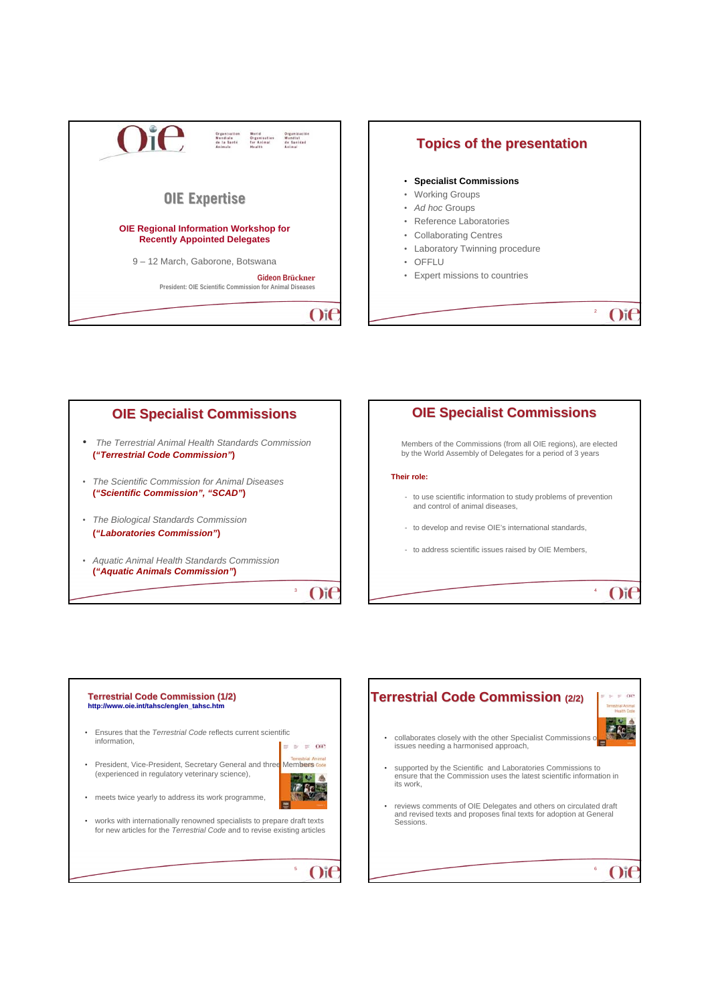







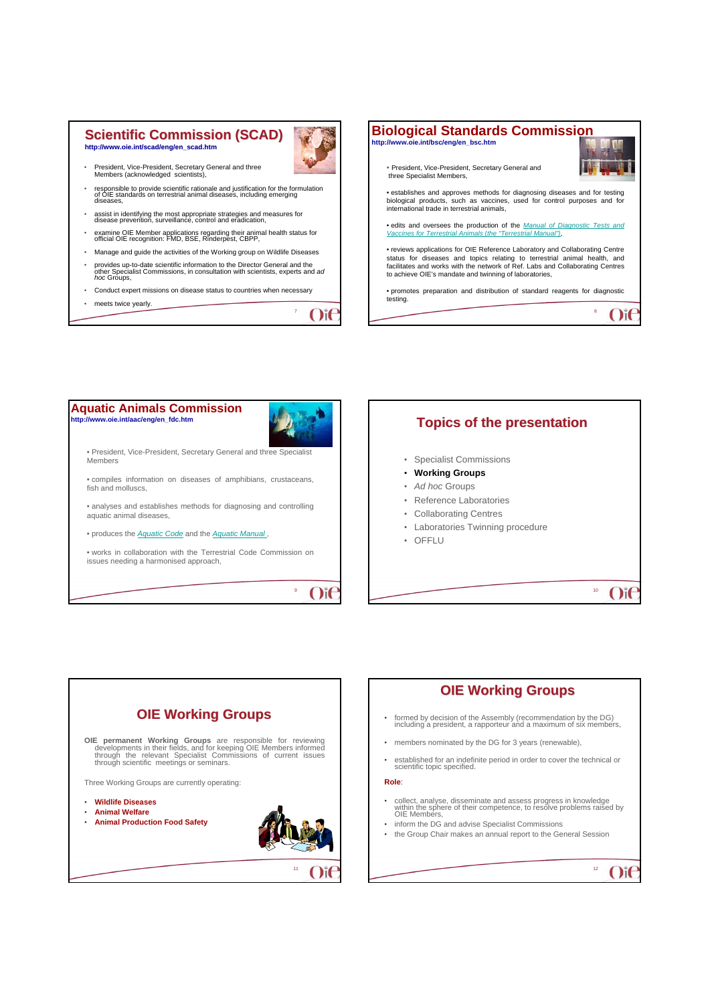#### **Scientific Commission (SCAD) http://www.oie.int/scad/eng/en\_scad.htm**



- President, Vice-President, Secretary General and three Members (acknowledged scientists),
- responsible to provide scientific rationale and justification for the formulation of OIE standards on terrestrial animal diseases, including emerging diseases,
- assist in identifying the most appropriate strategies and measures for disease prevention, surveillance, control and eradication,
- examine OIE Member applications regarding their animal health status for official OIE recognition: FMD, BSE, Rinderpest, CBPP,
- Manage and guide the activities of the Working group on Wildlife Diseases
- provides up-to-date scientific information to the Director General and the other Specialist Commissions, in consultation with scientists, experts and *ad hoc* Groups,
- Conduct expert missions on disease status to countries when necessary
- meets twice yearly.

 $O$ if 7







• President, Vice-President, Secretary General and three Specialist Members

• compiles information on diseases of amphibians, crustaceans, fish and molluscs,

• analyses and establishes methods for diagnosing and controlling aquatic animal diseases,

• produces the *Aquatic Code* and the *Aquatic Manual* ,

• works in collaboration with the Terrestrial Code Commission on issues needing a harmonised approach,

 $O$ i $\epsilon$ 

9

## **Topics of the presentation**

- Specialist Commissions
- **Working Groups**
- *Ad hoc* Groups
- Reference Laboratories
- Collaborating Centres
- Laboratories Twinning procedure
- OFFLU



#### **OIE Working Groups**

- formed by decision of the Assembly (recommendation by the DG) including a president, a rapporteur and a maximum of six members,
- members nominated by the DG for 3 years (renewable),
- established for an indefinite period in order to cover the technical or scientific topic specified.

#### **Role**:

- collect, analyse, disseminate and assess progress in knowledge within the sphere of their competence, to resolve problems raised by OIE Members,
- inform the DG and advise Specialist Commissions
- the Group Chair makes an annual report to the General Session

12  $O$ i

10

 $O$ it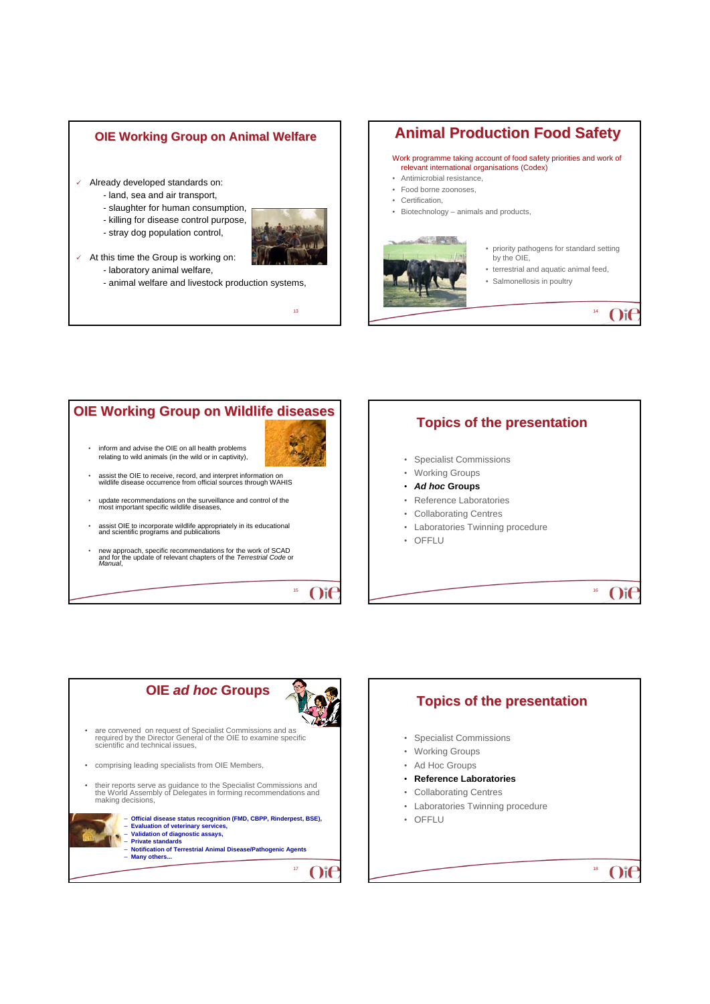# $\checkmark$  Already developed standards on: - land, sea and air transport, **OIE Working Group on Animal Welfare**

- slaughter for human consumption,
- killing for disease control purpose,
- stray dog population control,



- $\angle$  At this time the Group is working on: - laboratory animal welfare,
	- animal welfare and livestock production systems,



# **Animal Production Food Safety**

Work programme taking account of food safety priorities and work of relevant international organisations (Codex)

- Antimicrobial resistance,
- Food borne zoonoses,
- Certification,
- Biotechnology animals and products,



# **OIE Working Group on Wildlife diseases**

- inform and advise the OIE on all health problems relating to wild animals (in the wild or in captivity),
- assist the OIE to receive, record, and interpret information on wildlife disease occurrence from official sources through WAHIS
- update recommendations on the surveillance and control of the most important specific wildlife diseases,
- assist OIE to incorporate wildlife appropriately in its educational and scientific programs and publications
- new approach, specific recommendations for the work of SCAD and for the update of relevant chapters of the *Terrestrial Code* or *Manual*,



15

# **Topics of the presentation**

16

 $O$ if

- Specialist Commissions
- Working Groups
- *Ad hoc* **Groups**
- Reference Laboratories
- Collaborating Centres
- Laboratories Twinning procedure
- OFFLU



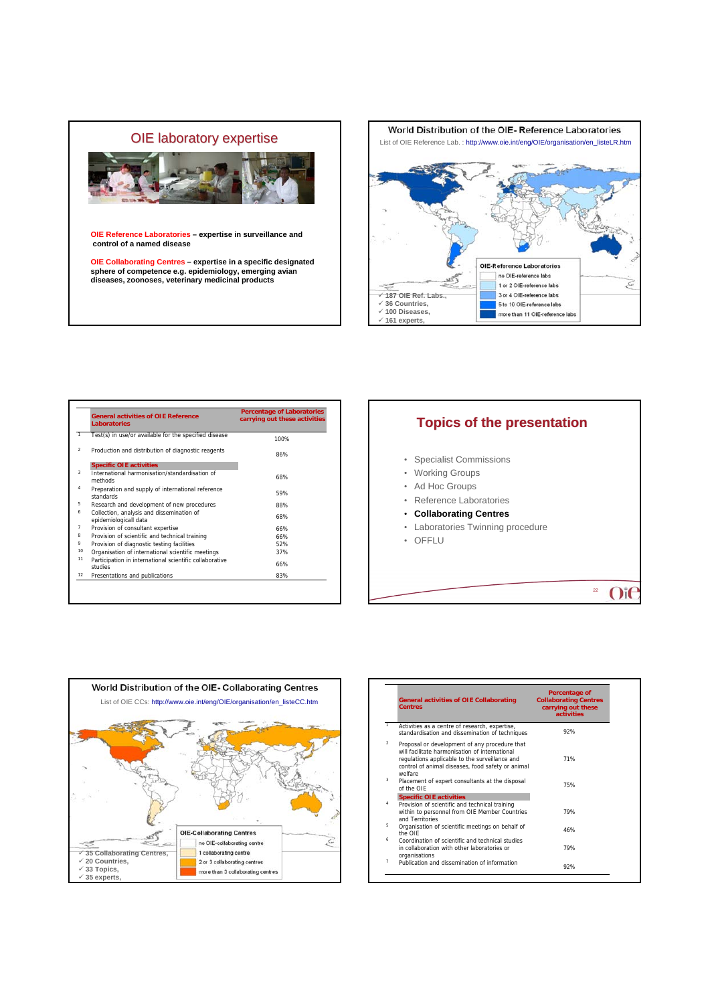



|     | <b>General activities of OIE Reference</b><br>Laboratories         | <b>Percentage of Laboratories</b><br>carrying out these activities |
|-----|--------------------------------------------------------------------|--------------------------------------------------------------------|
| -1. | Test(s) in use/or available for the specified disease              | 100%                                                               |
| 2   | Production and distribution of diagnostic reagents                 | 86%                                                                |
|     | <b>Specific OIE activities</b>                                     |                                                                    |
| 3   | International harmonisation/standardisation of<br>methods          | 68%                                                                |
| 4   | Preparation and supply of international reference<br>standards     | 59%                                                                |
| 5   | Research and development of new procedures                         | 88%                                                                |
| 6   | Collection, analysis and dissemination of<br>epidemiologicall data | 68%                                                                |
| 7   | Provision of consultant expertise                                  | 66%                                                                |
| 8   | Provision of scientific and technical training                     | 66%                                                                |
| 9   | Provision of diagnostic testing facilities                         | 52%                                                                |
| 10  | Organisation of international scientific meetings                  | 37%                                                                |
| 11  | Participation in international scientific collaborative<br>studies | 66%                                                                |
| 12  | Presentations and publications                                     | 83%                                                                |

### **Topics of the presentation**

- Specialist Commissions
- Working Groups
- Ad Hoc Groups
- Reference Laboratories
- **Collaborating Centres**
- Laboratories Twinning procedure
- OFFLU



|                     | <b>General activities of OIE Collaborating</b><br><b>Centres</b>                                                                                                                                                                                                                   | Percentage of<br><b>Collaborating Centres</b><br>carrying out these<br>activities |
|---------------------|------------------------------------------------------------------------------------------------------------------------------------------------------------------------------------------------------------------------------------------------------------------------------------|-----------------------------------------------------------------------------------|
| 1                   | Activities as a centre of research, expertise,<br>standardisation and dissemination of techniques                                                                                                                                                                                  | 92%                                                                               |
| $\overline{2}$<br>3 | Proposal or development of any procedure that<br>will facilitate harmonisation of international<br>regulations applicable to the surveillance and<br>control of animal diseases, food safety or animal<br>welfare<br>Placement of expert consultants at the disposal<br>of the OIF | 71%<br>75%                                                                        |
|                     | <b>Specific OIE activities</b>                                                                                                                                                                                                                                                     |                                                                                   |
|                     | Provision of scientific and technical training<br>within to personnel from OIE Member Countries<br>and Territories                                                                                                                                                                 | 79%                                                                               |
| 5                   | Organisation of scientific meetings on behalf of<br>the OIF                                                                                                                                                                                                                        | 46%                                                                               |
|                     | Coordination of scientific and technical studies<br>in collaboration with other laboratories or<br>organisations                                                                                                                                                                   | 79%                                                                               |
|                     | Publication and dissemination of information                                                                                                                                                                                                                                       | 92%                                                                               |

22

 $Oif$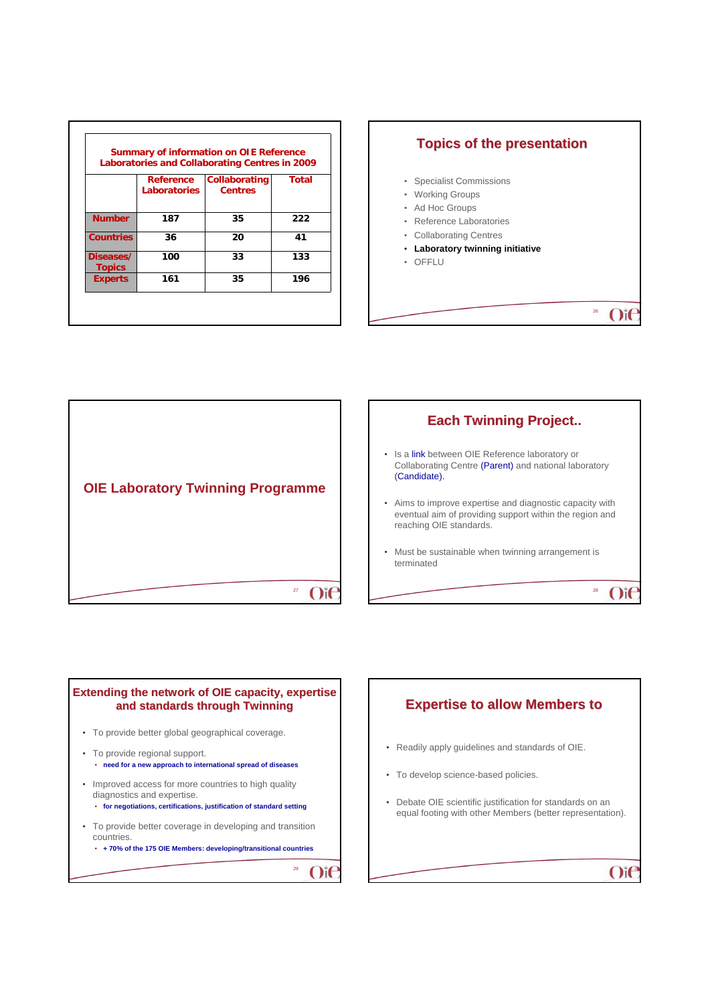|                            |                           | <b>Summary of information on OIE Reference</b><br><b>Laboratories and Collaborating Centres in 2009</b> |       |
|----------------------------|---------------------------|---------------------------------------------------------------------------------------------------------|-------|
|                            | Reference<br>Laboratories | <b>Collaborating</b><br><b>Centres</b>                                                                  | Total |
| <b>Number</b>              | 187                       | 35                                                                                                      | 222   |
| <b>Countries</b>           | 36                        | 20                                                                                                      | 41    |
| Diseases/<br><b>Topics</b> | 100                       | 33                                                                                                      | 133   |
| <b>Experts</b>             | 161                       | 35                                                                                                      | 196   |

# **Topics of the presentation** • Specialist Commissions • Working Groups • Ad Hoc Groups • Reference Laboratories • Collaborating Centres • **Laboratory twinning initiative** • OFFLU 26  $O$ if





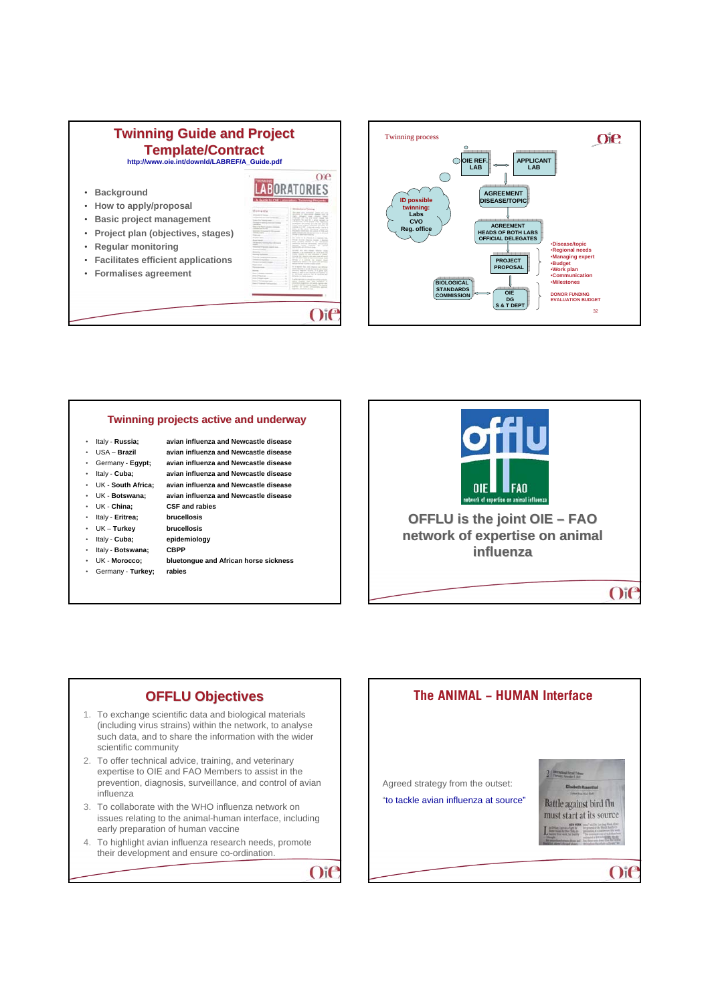## **Twinning Guide and Project Template/Contract Template/Contract http://www.oie.int/downld/LABREF/A\_Guide.pdf**

- **Background**
- **How to apply/proposal**
- **Basic project management**
- **Project plan (objectives, stages)**
- **Regular monitoring**
- **Facilitates efficient applications**
- **Formalises agreement**

| 14114<br>1.000 mod days to<br><b>CONTRACT</b><br>Scientists art increase and<br>٠<br>٠<br>٠<br>--<br>-- | the second in the adverse is an insurance than<br>present control restored and appro-<br>dealership by shortern and the artists.<br>the authority facts looks industry and others at<br>come downto a study is assetted and arrest<br>through capitals. Section, in a sing west<br>then it I said the next marked and boosters of<br>to intriced dark a for a cannot all<br>details or their scalar in the con-<br>The photo definition in an extractal democratic conducts.<br>being control cash that pointing of<br>president engineers are lainty-racing-any<br>Traumer clients & Awards Hawaii, The Awards<br>barra an inter incomed, paint<br>the property company's sea when there | determined of their private sharests apply the<br>TWO OFFICES and chang man-<br>trainer at he we say from the<br>because he was to a great passer in<br>Forderton wood finds this leaders.<br>business and carrier is all the lots with the<br>CORR AND IT since mountain and many on-<br>parent and that it was no confer topology<br>two a to see tworcy princip<br>Provident constructed and stated of Texas and<br>\$100 months and maker and the different<br>Fried strains stagers; bond it deaths<br>late present define in his characters.<br>policity and the elements' convenience.<br>truck at an inner stern man<br>dealer strates in case advoked in come.<br>dental by the results are and a property<br>was told of the transport that the collection of the al-<br>develop of its actions can interest street<br>employed up such as the country shot substance. |  |                                                |
|---------------------------------------------------------------------------------------------------------|-------------------------------------------------------------------------------------------------------------------------------------------------------------------------------------------------------------------------------------------------------------------------------------------------------------------------------------------------------------------------------------------------------------------------------------------------------------------------------------------------------------------------------------------------------------------------------------------------------------------------------------------------------------------------------------------|----------------------------------------------------------------------------------------------------------------------------------------------------------------------------------------------------------------------------------------------------------------------------------------------------------------------------------------------------------------------------------------------------------------------------------------------------------------------------------------------------------------------------------------------------------------------------------------------------------------------------------------------------------------------------------------------------------------------------------------------------------------------------------------------------------------------------------------------------------------------------------|--|------------------------------------------------|
|                                                                                                         |                                                                                                                                                                                                                                                                                                                                                                                                                                                                                                                                                                                                                                                                                           |                                                                                                                                                                                                                                                                                                                                                                                                                                                                                                                                                                                                                                                                                                                                                                                                                                                                                  |  |                                                |
|                                                                                                         |                                                                                                                                                                                                                                                                                                                                                                                                                                                                                                                                                                                                                                                                                           |                                                                                                                                                                                                                                                                                                                                                                                                                                                                                                                                                                                                                                                                                                                                                                                                                                                                                  |  | for each that this send areas and and-         |
|                                                                                                         |                                                                                                                                                                                                                                                                                                                                                                                                                                                                                                                                                                                                                                                                                           |                                                                                                                                                                                                                                                                                                                                                                                                                                                                                                                                                                                                                                                                                                                                                                                                                                                                                  |  |                                                |
|                                                                                                         |                                                                                                                                                                                                                                                                                                                                                                                                                                                                                                                                                                                                                                                                                           |                                                                                                                                                                                                                                                                                                                                                                                                                                                                                                                                                                                                                                                                                                                                                                                                                                                                                  |  |                                                |
|                                                                                                         |                                                                                                                                                                                                                                                                                                                                                                                                                                                                                                                                                                                                                                                                                           |                                                                                                                                                                                                                                                                                                                                                                                                                                                                                                                                                                                                                                                                                                                                                                                                                                                                                  |  |                                                |
|                                                                                                         |                                                                                                                                                                                                                                                                                                                                                                                                                                                                                                                                                                                                                                                                                           |                                                                                                                                                                                                                                                                                                                                                                                                                                                                                                                                                                                                                                                                                                                                                                                                                                                                                  |  |                                                |
|                                                                                                         |                                                                                                                                                                                                                                                                                                                                                                                                                                                                                                                                                                                                                                                                                           |                                                                                                                                                                                                                                                                                                                                                                                                                                                                                                                                                                                                                                                                                                                                                                                                                                                                                  |  |                                                |
|                                                                                                         |                                                                                                                                                                                                                                                                                                                                                                                                                                                                                                                                                                                                                                                                                           |                                                                                                                                                                                                                                                                                                                                                                                                                                                                                                                                                                                                                                                                                                                                                                                                                                                                                  |  |                                                |
|                                                                                                         |                                                                                                                                                                                                                                                                                                                                                                                                                                                                                                                                                                                                                                                                                           |                                                                                                                                                                                                                                                                                                                                                                                                                                                                                                                                                                                                                                                                                                                                                                                                                                                                                  |  |                                                |
|                                                                                                         |                                                                                                                                                                                                                                                                                                                                                                                                                                                                                                                                                                                                                                                                                           |                                                                                                                                                                                                                                                                                                                                                                                                                                                                                                                                                                                                                                                                                                                                                                                                                                                                                  |  |                                                |
|                                                                                                         |                                                                                                                                                                                                                                                                                                                                                                                                                                                                                                                                                                                                                                                                                           |                                                                                                                                                                                                                                                                                                                                                                                                                                                                                                                                                                                                                                                                                                                                                                                                                                                                                  |  |                                                |
|                                                                                                         |                                                                                                                                                                                                                                                                                                                                                                                                                                                                                                                                                                                                                                                                                           |                                                                                                                                                                                                                                                                                                                                                                                                                                                                                                                                                                                                                                                                                                                                                                                                                                                                                  |  |                                                |
|                                                                                                         |                                                                                                                                                                                                                                                                                                                                                                                                                                                                                                                                                                                                                                                                                           |                                                                                                                                                                                                                                                                                                                                                                                                                                                                                                                                                                                                                                                                                                                                                                                                                                                                                  |  |                                                |
|                                                                                                         |                                                                                                                                                                                                                                                                                                                                                                                                                                                                                                                                                                                                                                                                                           |                                                                                                                                                                                                                                                                                                                                                                                                                                                                                                                                                                                                                                                                                                                                                                                                                                                                                  |  |                                                |
|                                                                                                         |                                                                                                                                                                                                                                                                                                                                                                                                                                                                                                                                                                                                                                                                                           |                                                                                                                                                                                                                                                                                                                                                                                                                                                                                                                                                                                                                                                                                                                                                                                                                                                                                  |  |                                                |
|                                                                                                         |                                                                                                                                                                                                                                                                                                                                                                                                                                                                                                                                                                                                                                                                                           |                                                                                                                                                                                                                                                                                                                                                                                                                                                                                                                                                                                                                                                                                                                                                                                                                                                                                  |  |                                                |
|                                                                                                         |                                                                                                                                                                                                                                                                                                                                                                                                                                                                                                                                                                                                                                                                                           |                                                                                                                                                                                                                                                                                                                                                                                                                                                                                                                                                                                                                                                                                                                                                                                                                                                                                  |  |                                                |
|                                                                                                         |                                                                                                                                                                                                                                                                                                                                                                                                                                                                                                                                                                                                                                                                                           |                                                                                                                                                                                                                                                                                                                                                                                                                                                                                                                                                                                                                                                                                                                                                                                                                                                                                  |  |                                                |
|                                                                                                         |                                                                                                                                                                                                                                                                                                                                                                                                                                                                                                                                                                                                                                                                                           |                                                                                                                                                                                                                                                                                                                                                                                                                                                                                                                                                                                                                                                                                                                                                                                                                                                                                  |  | Company is the statements of a loss state that |
|                                                                                                         |                                                                                                                                                                                                                                                                                                                                                                                                                                                                                                                                                                                                                                                                                           |                                                                                                                                                                                                                                                                                                                                                                                                                                                                                                                                                                                                                                                                                                                                                                                                                                                                                  |  |                                                |
|                                                                                                         |                                                                                                                                                                                                                                                                                                                                                                                                                                                                                                                                                                                                                                                                                           |                                                                                                                                                                                                                                                                                                                                                                                                                                                                                                                                                                                                                                                                                                                                                                                                                                                                                  |  |                                                |
|                                                                                                         |                                                                                                                                                                                                                                                                                                                                                                                                                                                                                                                                                                                                                                                                                           |                                                                                                                                                                                                                                                                                                                                                                                                                                                                                                                                                                                                                                                                                                                                                                                                                                                                                  |  |                                                |
|                                                                                                         |                                                                                                                                                                                                                                                                                                                                                                                                                                                                                                                                                                                                                                                                                           |                                                                                                                                                                                                                                                                                                                                                                                                                                                                                                                                                                                                                                                                                                                                                                                                                                                                                  |  |                                                |
|                                                                                                         |                                                                                                                                                                                                                                                                                                                                                                                                                                                                                                                                                                                                                                                                                           |                                                                                                                                                                                                                                                                                                                                                                                                                                                                                                                                                                                                                                                                                                                                                                                                                                                                                  |  |                                                |
|                                                                                                         |                                                                                                                                                                                                                                                                                                                                                                                                                                                                                                                                                                                                                                                                                           |                                                                                                                                                                                                                                                                                                                                                                                                                                                                                                                                                                                                                                                                                                                                                                                                                                                                                  |  |                                                |
|                                                                                                         |                                                                                                                                                                                                                                                                                                                                                                                                                                                                                                                                                                                                                                                                                           |                                                                                                                                                                                                                                                                                                                                                                                                                                                                                                                                                                                                                                                                                                                                                                                                                                                                                  |  |                                                |
|                                                                                                         |                                                                                                                                                                                                                                                                                                                                                                                                                                                                                                                                                                                                                                                                                           |                                                                                                                                                                                                                                                                                                                                                                                                                                                                                                                                                                                                                                                                                                                                                                                                                                                                                  |  |                                                |
|                                                                                                         |                                                                                                                                                                                                                                                                                                                                                                                                                                                                                                                                                                                                                                                                                           |                                                                                                                                                                                                                                                                                                                                                                                                                                                                                                                                                                                                                                                                                                                                                                                                                                                                                  |  |                                                |
|                                                                                                         |                                                                                                                                                                                                                                                                                                                                                                                                                                                                                                                                                                                                                                                                                           |                                                                                                                                                                                                                                                                                                                                                                                                                                                                                                                                                                                                                                                                                                                                                                                                                                                                                  |  |                                                |
|                                                                                                         |                                                                                                                                                                                                                                                                                                                                                                                                                                                                                                                                                                                                                                                                                           |                                                                                                                                                                                                                                                                                                                                                                                                                                                                                                                                                                                                                                                                                                                                                                                                                                                                                  |  |                                                |
|                                                                                                         |                                                                                                                                                                                                                                                                                                                                                                                                                                                                                                                                                                                                                                                                                           |                                                                                                                                                                                                                                                                                                                                                                                                                                                                                                                                                                                                                                                                                                                                                                                                                                                                                  |  |                                                |
|                                                                                                         |                                                                                                                                                                                                                                                                                                                                                                                                                                                                                                                                                                                                                                                                                           |                                                                                                                                                                                                                                                                                                                                                                                                                                                                                                                                                                                                                                                                                                                                                                                                                                                                                  |  |                                                |
|                                                                                                         |                                                                                                                                                                                                                                                                                                                                                                                                                                                                                                                                                                                                                                                                                           |                                                                                                                                                                                                                                                                                                                                                                                                                                                                                                                                                                                                                                                                                                                                                                                                                                                                                  |  |                                                |
|                                                                                                         |                                                                                                                                                                                                                                                                                                                                                                                                                                                                                                                                                                                                                                                                                           |                                                                                                                                                                                                                                                                                                                                                                                                                                                                                                                                                                                                                                                                                                                                                                                                                                                                                  |  |                                                |
|                                                                                                         |                                                                                                                                                                                                                                                                                                                                                                                                                                                                                                                                                                                                                                                                                           |                                                                                                                                                                                                                                                                                                                                                                                                                                                                                                                                                                                                                                                                                                                                                                                                                                                                                  |  |                                                |
|                                                                                                         |                                                                                                                                                                                                                                                                                                                                                                                                                                                                                                                                                                                                                                                                                           |                                                                                                                                                                                                                                                                                                                                                                                                                                                                                                                                                                                                                                                                                                                                                                                                                                                                                  |  |                                                |
|                                                                                                         |                                                                                                                                                                                                                                                                                                                                                                                                                                                                                                                                                                                                                                                                                           |                                                                                                                                                                                                                                                                                                                                                                                                                                                                                                                                                                                                                                                                                                                                                                                                                                                                                  |  |                                                |
|                                                                                                         |                                                                                                                                                                                                                                                                                                                                                                                                                                                                                                                                                                                                                                                                                           |                                                                                                                                                                                                                                                                                                                                                                                                                                                                                                                                                                                                                                                                                                                                                                                                                                                                                  |  |                                                |
|                                                                                                         |                                                                                                                                                                                                                                                                                                                                                                                                                                                                                                                                                                                                                                                                                           |                                                                                                                                                                                                                                                                                                                                                                                                                                                                                                                                                                                                                                                                                                                                                                                                                                                                                  |  |                                                |
|                                                                                                         |                                                                                                                                                                                                                                                                                                                                                                                                                                                                                                                                                                                                                                                                                           |                                                                                                                                                                                                                                                                                                                                                                                                                                                                                                                                                                                                                                                                                                                                                                                                                                                                                  |  |                                                |
|                                                                                                         |                                                                                                                                                                                                                                                                                                                                                                                                                                                                                                                                                                                                                                                                                           |                                                                                                                                                                                                                                                                                                                                                                                                                                                                                                                                                                                                                                                                                                                                                                                                                                                                                  |  |                                                |
|                                                                                                         |                                                                                                                                                                                                                                                                                                                                                                                                                                                                                                                                                                                                                                                                                           |                                                                                                                                                                                                                                                                                                                                                                                                                                                                                                                                                                                                                                                                                                                                                                                                                                                                                  |  |                                                |
|                                                                                                         |                                                                                                                                                                                                                                                                                                                                                                                                                                                                                                                                                                                                                                                                                           |                                                                                                                                                                                                                                                                                                                                                                                                                                                                                                                                                                                                                                                                                                                                                                                                                                                                                  |  |                                                |

**LABORATORIES** 

31

 $O<sub>i</sub>$  $e$ 



#### **Twinning projects active and underway**

- 
- 
- 
- 
- 
- 
- Italy **Eritrea; brucellosis**
- UK **Turkey brucellosis**
- Italy **Cuba; epidemiology**
- Italy **Botswana; CBPP**
- UK **Morocco; bluetongue and African horse sickness**
- Germany **Turkey; rabies**

#### • Italy - **Russia; avian influenza and Newcastle disease** • USA – **Brazil avian influenza and Newcastle disease** • Germany - **Egypt; avian influenza and Newcastle disease** • Italy - **Cuba; avian influenza and Newcastle disease** • UK - **South Africa; avian influenza and Newcastle disease** • UK - **Botswana; avian influenza and Newcastle disease** • UK - **China; CSF and rabies**



 $O$ i $e$ 

### **OFFLU Objectives**

- 1. To exchange scientific data and biological materials (including virus strains) within the network, to analyse such data, and to share the information with the wider scientific community
- 2. To offer technical advice, training, and veterinary expertise to OIE and FAO Members to assist in the prevention, diagnosis, surveillance, and control of avian influenza
- 3. To collaborate with the WHO influenza network on issues relating to the animal-human interface, including early preparation of human vaccine
- 4. To highlight avian influenza research needs, promote their development and ensure co-ordination.

 $O<sub>i</sub>$